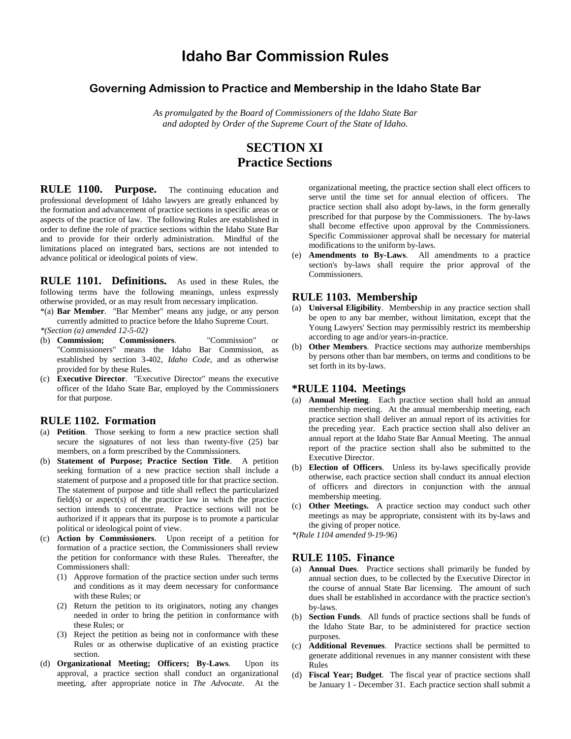# **Idaho Bar Commission Rules**

## **Governing Admission to Practice and Membership in the Idaho State Bar**

*As promulgated by the Board of Commissioners of the Idaho State Bar and adopted by Order of the Supreme Court of the State of Idaho.*

## **SECTION XI Practice Sections**

**RULE 1100. Purpose.** The continuing education and professional development of Idaho lawyers are greatly enhanced by the formation and advancement of practice sections in specific areas or aspects of the practice of law. The following Rules are established in order to define the role of practice sections within the Idaho State Bar and to provide for their orderly administration. Mindful of the limitations placed on integrated bars, sections are not intended to advance political or ideological points of view.

**RULE 1101. Definitions.** As used in these Rules, the following terms have the following meanings, unless expressly otherwise provided, or as may result from necessary implication.

- \*(a) **Bar Member**. "Bar Member" means any judge, or any person currently admitted to practice before the Idaho Supreme Court.
- *\*(Section (a) amended 12-5-02)* (b) **Commission; Commissioners**. "Commission" or "Commissioners" means the Idaho Bar Commission, as established by section 3-402, *Idaho Code*, and as otherwise provided for by these Rules.
- (c) **Executive Director**. "Executive Director" means the executive officer of the Idaho State Bar, employed by the Commissioners for that purpose.

#### **RULE 1102. Formation**

- (a) **Petition**. Those seeking to form a new practice section shall secure the signatures of not less than twenty-five (25) bar members, on a form prescribed by the Commissioners.
- (b) **Statement of Purpose; Practice Section Title**. A petition seeking formation of a new practice section shall include a statement of purpose and a proposed title for that practice section. The statement of purpose and title shall reflect the particularized field(s) or aspect(s) of the practice law in which the practice section intends to concentrate. Practice sections will not be authorized if it appears that its purpose is to promote a particular political or ideological point of view.
- (c) **Action by Commissioners**. Upon receipt of a petition for formation of a practice section, the Commissioners shall review the petition for conformance with these Rules. Thereafter, the Commissioners shall:
	- (1) Approve formation of the practice section under such terms and conditions as it may deem necessary for conformance with these Rules; or
	- (2) Return the petition to its originators, noting any changes needed in order to bring the petition in conformance with these Rules; or
	- (3) Reject the petition as being not in conformance with these Rules or as otherwise duplicative of an existing practice section.
- (d) **Organizational Meeting; Officers; By-Laws**. Upon its approval, a practice section shall conduct an organizational meeting, after appropriate notice in *The Advocate*. At the

organizational meeting, the practice section shall elect officers to serve until the time set for annual election of officers. The practice section shall also adopt by-laws, in the form generally prescribed for that purpose by the Commissioners. The by-laws shall become effective upon approval by the Commissioners. Specific Commissioner approval shall be necessary for material modifications to the uniform by-laws.

(e) **Amendments to By-Laws**. All amendments to a practice section's by-laws shall require the prior approval of the Commissioners.

#### **RULE 1103. Membership**

- (a) **Universal Eligibility**. Membership in any practice section shall be open to any bar member, without limitation, except that the Young Lawyers' Section may permissibly restrict its membership according to age and/or years-in-practice.
- (b) **Other Members**. Practice sections may authorize memberships by persons other than bar members, on terms and conditions to be set forth in its by-laws.

#### **\*RULE 1104. Meetings**

- (a) **Annual Meeting**. Each practice section shall hold an annual membership meeting. At the annual membership meeting, each practice section shall deliver an annual report of its activities for the preceding year. Each practice section shall also deliver an annual report at the Idaho State Bar Annual Meeting. The annual report of the practice section shall also be submitted to the Executive Director.
- (b) **Election of Officers**. Unless its by-laws specifically provide otherwise, each practice section shall conduct its annual election of officers and directors in conjunction with the annual membership meeting.
- (c) **Other Meetings.** A practice section may conduct such other meetings as may be appropriate, consistent with its by-laws and the giving of proper notice.

*\*(Rule 1104 amended 9-19-96)*

#### **RULE 1105. Finance**

- (a) **Annual Dues**. Practice sections shall primarily be funded by annual section dues, to be collected by the Executive Director in the course of annual State Bar licensing. The amount of such dues shall be established in accordance with the practice section's by-laws.
- (b) **Section Funds**. All funds of practice sections shall be funds of the Idaho State Bar, to be administered for practice section purposes.
- (c) **Additional Revenues**. Practice sections shall be permitted to generate additional revenues in any manner consistent with these Rules
- (d) **Fiscal Year; Budget**. The fiscal year of practice sections shall be January 1 - December 31. Each practice section shall submit a